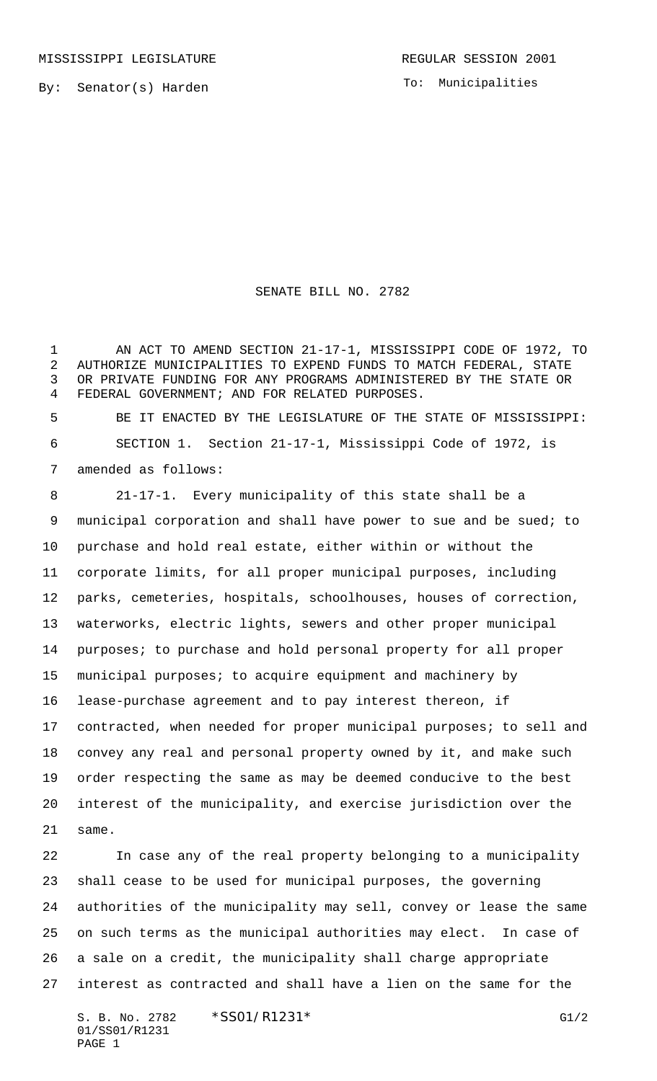To: Municipalities

SENATE BILL NO. 2782

 AN ACT TO AMEND SECTION 21-17-1, MISSISSIPPI CODE OF 1972, TO AUTHORIZE MUNICIPALITIES TO EXPEND FUNDS TO MATCH FEDERAL, STATE OR PRIVATE FUNDING FOR ANY PROGRAMS ADMINISTERED BY THE STATE OR FEDERAL GOVERNMENT; AND FOR RELATED PURPOSES.

 BE IT ENACTED BY THE LEGISLATURE OF THE STATE OF MISSISSIPPI: SECTION 1. Section 21-17-1, Mississippi Code of 1972, is amended as follows:

 21-17-1. Every municipality of this state shall be a municipal corporation and shall have power to sue and be sued; to purchase and hold real estate, either within or without the corporate limits, for all proper municipal purposes, including parks, cemeteries, hospitals, schoolhouses, houses of correction, waterworks, electric lights, sewers and other proper municipal purposes; to purchase and hold personal property for all proper municipal purposes; to acquire equipment and machinery by lease-purchase agreement and to pay interest thereon, if contracted, when needed for proper municipal purposes; to sell and convey any real and personal property owned by it, and make such order respecting the same as may be deemed conducive to the best interest of the municipality, and exercise jurisdiction over the same.

 In case any of the real property belonging to a municipality shall cease to be used for municipal purposes, the governing authorities of the municipality may sell, convey or lease the same on such terms as the municipal authorities may elect. In case of a sale on a credit, the municipality shall charge appropriate interest as contracted and shall have a lien on the same for the

S. B. No. 2782 \* SS01/R1231\* G1/2 01/SS01/R1231 PAGE 1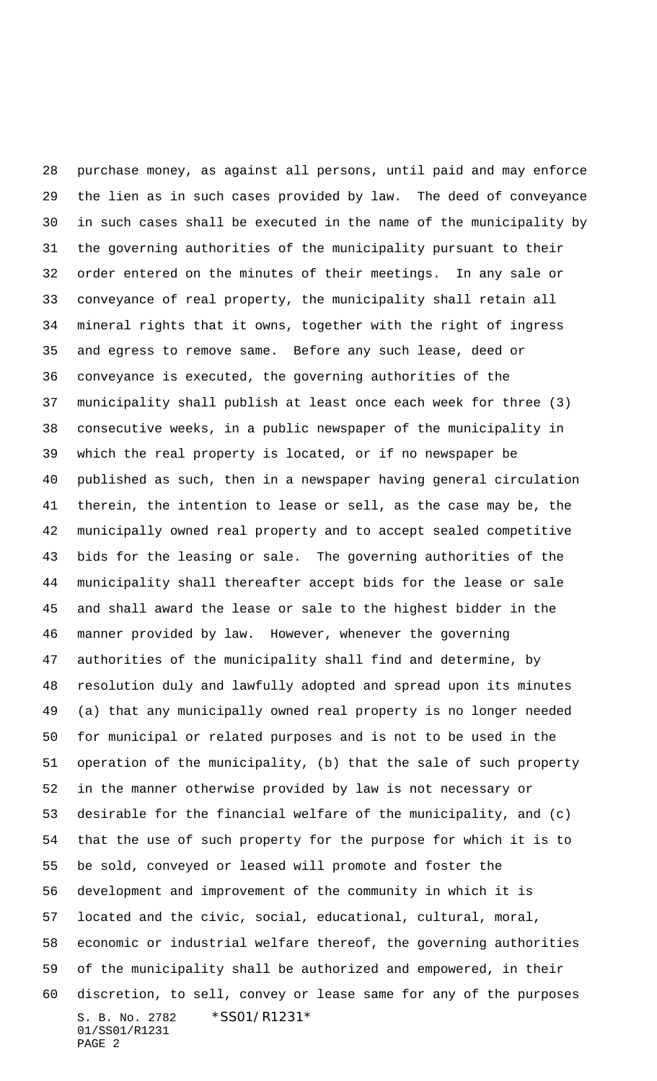S. B. No. 2782 \*SS01/R1231\* 01/SS01/R1231 PAGE 2 purchase money, as against all persons, until paid and may enforce the lien as in such cases provided by law. The deed of conveyance in such cases shall be executed in the name of the municipality by the governing authorities of the municipality pursuant to their order entered on the minutes of their meetings. In any sale or conveyance of real property, the municipality shall retain all mineral rights that it owns, together with the right of ingress and egress to remove same. Before any such lease, deed or conveyance is executed, the governing authorities of the municipality shall publish at least once each week for three (3) consecutive weeks, in a public newspaper of the municipality in which the real property is located, or if no newspaper be published as such, then in a newspaper having general circulation therein, the intention to lease or sell, as the case may be, the municipally owned real property and to accept sealed competitive bids for the leasing or sale. The governing authorities of the municipality shall thereafter accept bids for the lease or sale and shall award the lease or sale to the highest bidder in the manner provided by law. However, whenever the governing authorities of the municipality shall find and determine, by resolution duly and lawfully adopted and spread upon its minutes (a) that any municipally owned real property is no longer needed for municipal or related purposes and is not to be used in the operation of the municipality, (b) that the sale of such property in the manner otherwise provided by law is not necessary or desirable for the financial welfare of the municipality, and (c) that the use of such property for the purpose for which it is to be sold, conveyed or leased will promote and foster the development and improvement of the community in which it is located and the civic, social, educational, cultural, moral, economic or industrial welfare thereof, the governing authorities of the municipality shall be authorized and empowered, in their discretion, to sell, convey or lease same for any of the purposes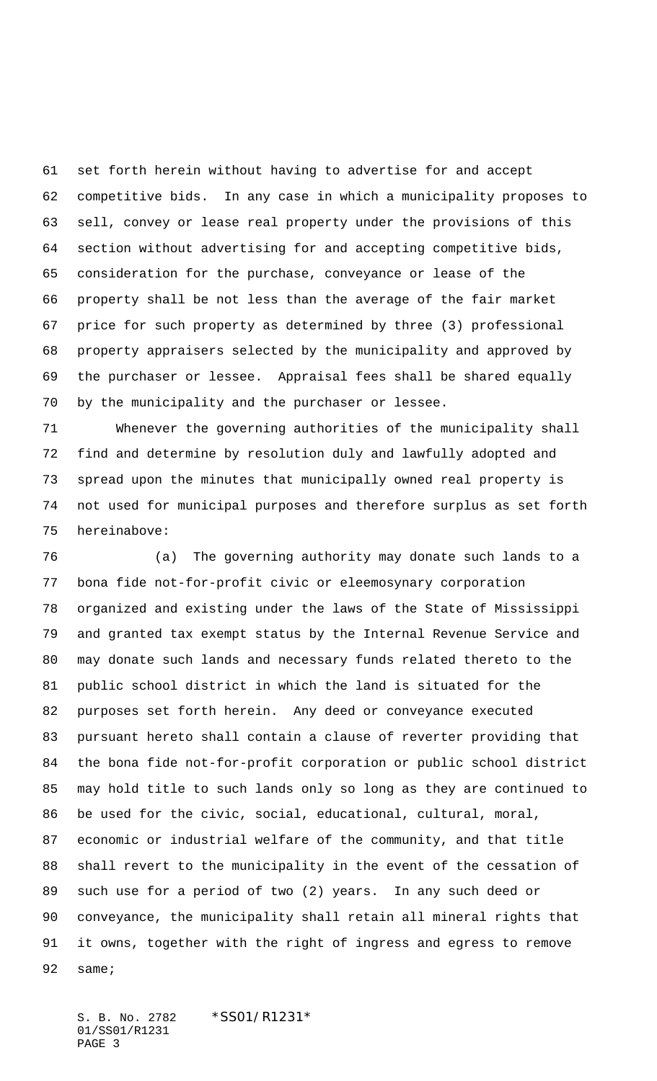set forth herein without having to advertise for and accept competitive bids. In any case in which a municipality proposes to sell, convey or lease real property under the provisions of this section without advertising for and accepting competitive bids, consideration for the purchase, conveyance or lease of the property shall be not less than the average of the fair market price for such property as determined by three (3) professional property appraisers selected by the municipality and approved by the purchaser or lessee. Appraisal fees shall be shared equally by the municipality and the purchaser or lessee.

 Whenever the governing authorities of the municipality shall find and determine by resolution duly and lawfully adopted and spread upon the minutes that municipally owned real property is not used for municipal purposes and therefore surplus as set forth hereinabove:

 (a) The governing authority may donate such lands to a bona fide not-for-profit civic or eleemosynary corporation organized and existing under the laws of the State of Mississippi and granted tax exempt status by the Internal Revenue Service and may donate such lands and necessary funds related thereto to the public school district in which the land is situated for the purposes set forth herein. Any deed or conveyance executed pursuant hereto shall contain a clause of reverter providing that the bona fide not-for-profit corporation or public school district may hold title to such lands only so long as they are continued to be used for the civic, social, educational, cultural, moral, economic or industrial welfare of the community, and that title shall revert to the municipality in the event of the cessation of such use for a period of two (2) years. In any such deed or conveyance, the municipality shall retain all mineral rights that it owns, together with the right of ingress and egress to remove same;

S. B. No. 2782 \*SS01/R1231\* 01/SS01/R1231 PAGE 3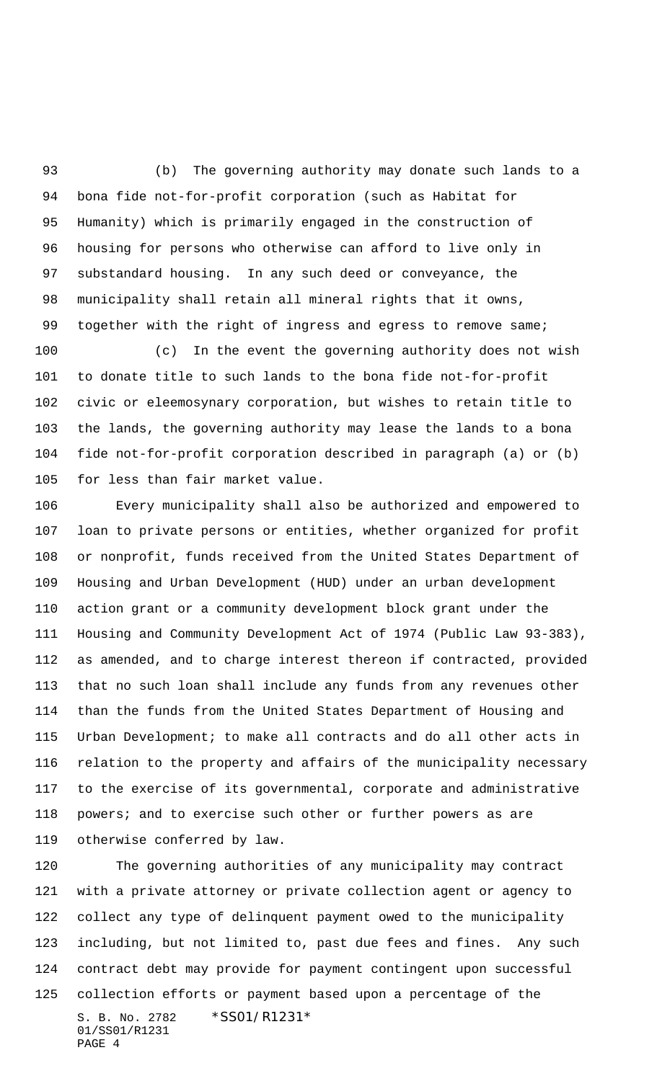(b) The governing authority may donate such lands to a bona fide not-for-profit corporation (such as Habitat for Humanity) which is primarily engaged in the construction of housing for persons who otherwise can afford to live only in substandard housing. In any such deed or conveyance, the municipality shall retain all mineral rights that it owns, 99 together with the right of ingress and egress to remove same;

 (c) In the event the governing authority does not wish to donate title to such lands to the bona fide not-for-profit civic or eleemosynary corporation, but wishes to retain title to the lands, the governing authority may lease the lands to a bona fide not-for-profit corporation described in paragraph (a) or (b) for less than fair market value.

 Every municipality shall also be authorized and empowered to loan to private persons or entities, whether organized for profit or nonprofit, funds received from the United States Department of Housing and Urban Development (HUD) under an urban development action grant or a community development block grant under the Housing and Community Development Act of 1974 (Public Law 93-383), as amended, and to charge interest thereon if contracted, provided that no such loan shall include any funds from any revenues other than the funds from the United States Department of Housing and Urban Development; to make all contracts and do all other acts in relation to the property and affairs of the municipality necessary to the exercise of its governmental, corporate and administrative 118 powers; and to exercise such other or further powers as are otherwise conferred by law.

S. B. No. 2782 \* SS01/R1231\* 01/SS01/R1231 PAGE 4 The governing authorities of any municipality may contract with a private attorney or private collection agent or agency to collect any type of delinquent payment owed to the municipality including, but not limited to, past due fees and fines. Any such contract debt may provide for payment contingent upon successful collection efforts or payment based upon a percentage of the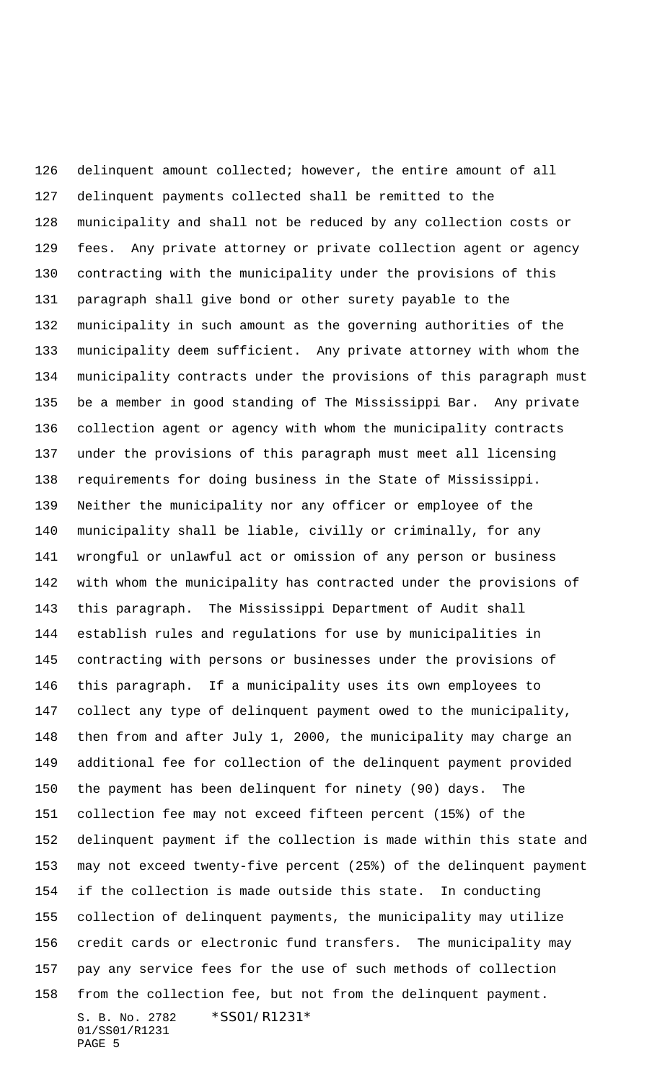S. B. No. 2782 \*SS01/R1231\* 01/SS01/R1231 PAGE 5 delinquent amount collected; however, the entire amount of all delinquent payments collected shall be remitted to the municipality and shall not be reduced by any collection costs or fees. Any private attorney or private collection agent or agency contracting with the municipality under the provisions of this paragraph shall give bond or other surety payable to the municipality in such amount as the governing authorities of the municipality deem sufficient. Any private attorney with whom the municipality contracts under the provisions of this paragraph must be a member in good standing of The Mississippi Bar. Any private collection agent or agency with whom the municipality contracts under the provisions of this paragraph must meet all licensing requirements for doing business in the State of Mississippi. Neither the municipality nor any officer or employee of the municipality shall be liable, civilly or criminally, for any wrongful or unlawful act or omission of any person or business with whom the municipality has contracted under the provisions of this paragraph. The Mississippi Department of Audit shall establish rules and regulations for use by municipalities in contracting with persons or businesses under the provisions of this paragraph. If a municipality uses its own employees to collect any type of delinquent payment owed to the municipality, then from and after July 1, 2000, the municipality may charge an additional fee for collection of the delinquent payment provided the payment has been delinquent for ninety (90) days. The collection fee may not exceed fifteen percent (15%) of the delinquent payment if the collection is made within this state and may not exceed twenty-five percent (25%) of the delinquent payment if the collection is made outside this state. In conducting collection of delinquent payments, the municipality may utilize credit cards or electronic fund transfers. The municipality may pay any service fees for the use of such methods of collection from the collection fee, but not from the delinquent payment.